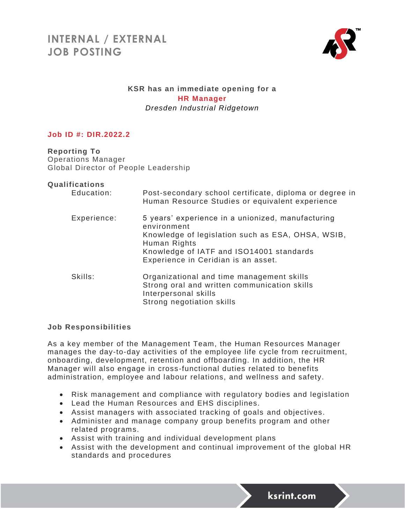

# **KSR has an immediate opening for a HR Manager** *Dresden Industrial Ridgetown*

# **Job ID #: DIR.2022.2**

**Reporting To** Operations Manager Global Director of People Leadership

#### **Qualifications**

| Education:  | Post-secondary school certificate, diploma or degree in<br>Human Resource Studies or equivalent experience                                                                                                               |
|-------------|--------------------------------------------------------------------------------------------------------------------------------------------------------------------------------------------------------------------------|
| Experience: | 5 years' experience in a unionized, manufacturing<br>environment<br>Knowledge of legislation such as ESA, OHSA, WSIB,<br>Human Rights<br>Knowledge of IATF and ISO14001 standards<br>Experience in Ceridian is an asset. |
| Skills:     | Organizational and time management skills<br>Strong oral and written communication skills<br>Interpersonal skills<br>Strong negotiation skills                                                                           |

## **Job Responsibilities**

As a key member of the Management Team, the Human Resources Manager manages the day-to-day activities of the employee life cycle from recruitment, onboarding, development, retention and offboarding. In addition, the HR Manager will also engage in cross -functional duties related to benefits administration, employee and labour relations, and wellness and safety.

- Risk management and compliance with regulatory bodies and legislation
- Lead the Human Resources and EHS disciplines.
- Assist managers with associated tracking of goals and objectives.
- Administer and manage company group benefits program and other related programs.
- Assist with training and individual development plans
- Assist with the development and continual improvement of the global HR standards and procedures

ksrint.com